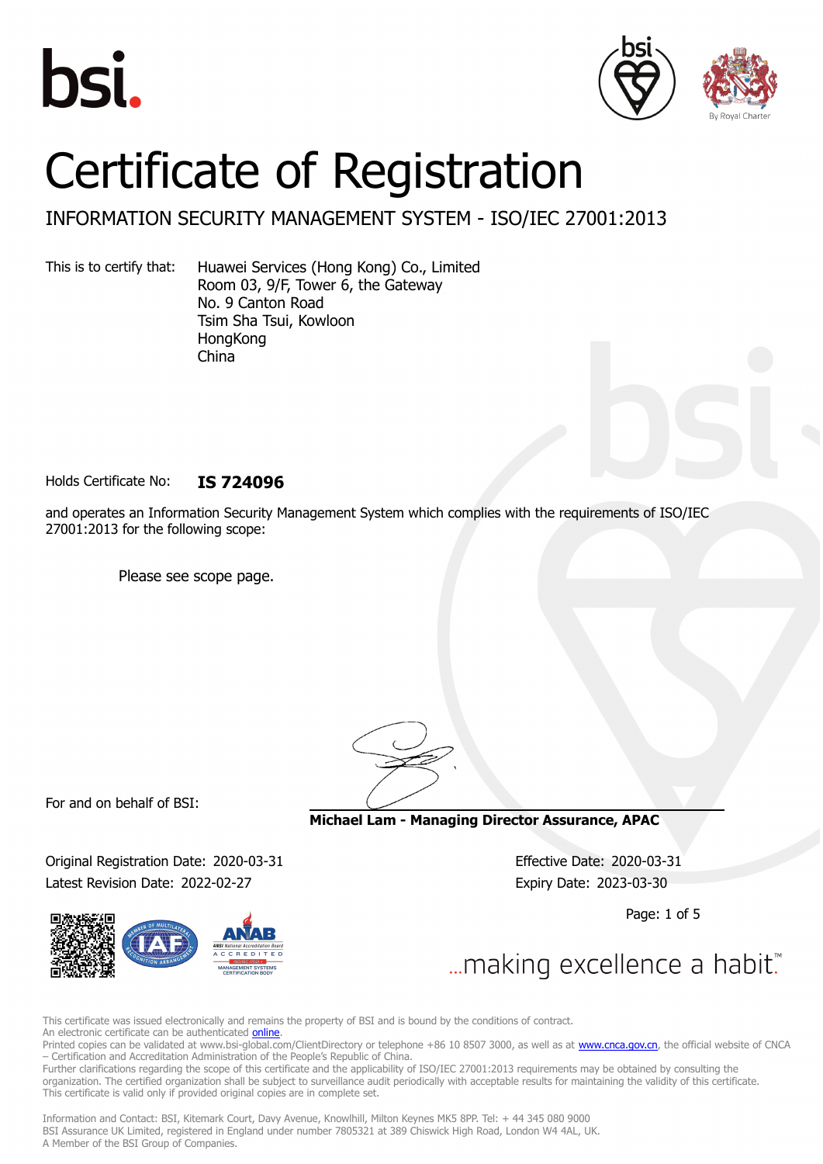





# Certificate of Registration

## INFORMATION SECURITY MANAGEMENT SYSTEM - ISO/IEC 27001:2013

This is to certify that: Huawei Services (Hong Kong) Co., Limited Room 03, 9/F, Tower 6, the Gateway No. 9 Canton Road Tsim Sha Tsui, Kowloon **HongKong** China

Holds Certificate No: **IS 724096**

and operates an Information Security Management System which complies with the requirements of ISO/IEC 27001:2013 for the following scope:

Please see scope page.

For and on behalf of BSI:

Original Registration Date: 2020-03-31 Effective Date: 2020-03-31 Latest Revision Date: 2022-02-27 Expiry Date: 2023-03-30



**Michael Lam - Managing Director Assurance, APAC**

Page: 1 of 5

... making excellence a habit.

This certificate was issued electronically and remains the property of BSI and is bound by the conditions of contract. An electronic certificate can be authenticated **[online](https://pgplus.bsigroup.com/CertificateValidation/CertificateValidator.aspx?CertificateNumber=IS+724096&ReIssueDate=27%2f02%2f2022&Template=cnen)**.

Printed copies can be validated at www.bsi-global.com/ClientDirectory or telephone +86 10 8507 3000, as well as at [www.cnca.gov.cn,](www.cnca.gov.cn) the official website of CNCA – Certification and Accreditation Administration of the People's Republic of China.

Further clarifications regarding the scope of this certificate and the applicability of ISO/IEC 27001:2013 requirements may be obtained by consulting the organization. The certified organization shall be subject to surveillance audit periodically with acceptable results for maintaining the validity of this certificate. This certificate is valid only if provided original copies are in complete set.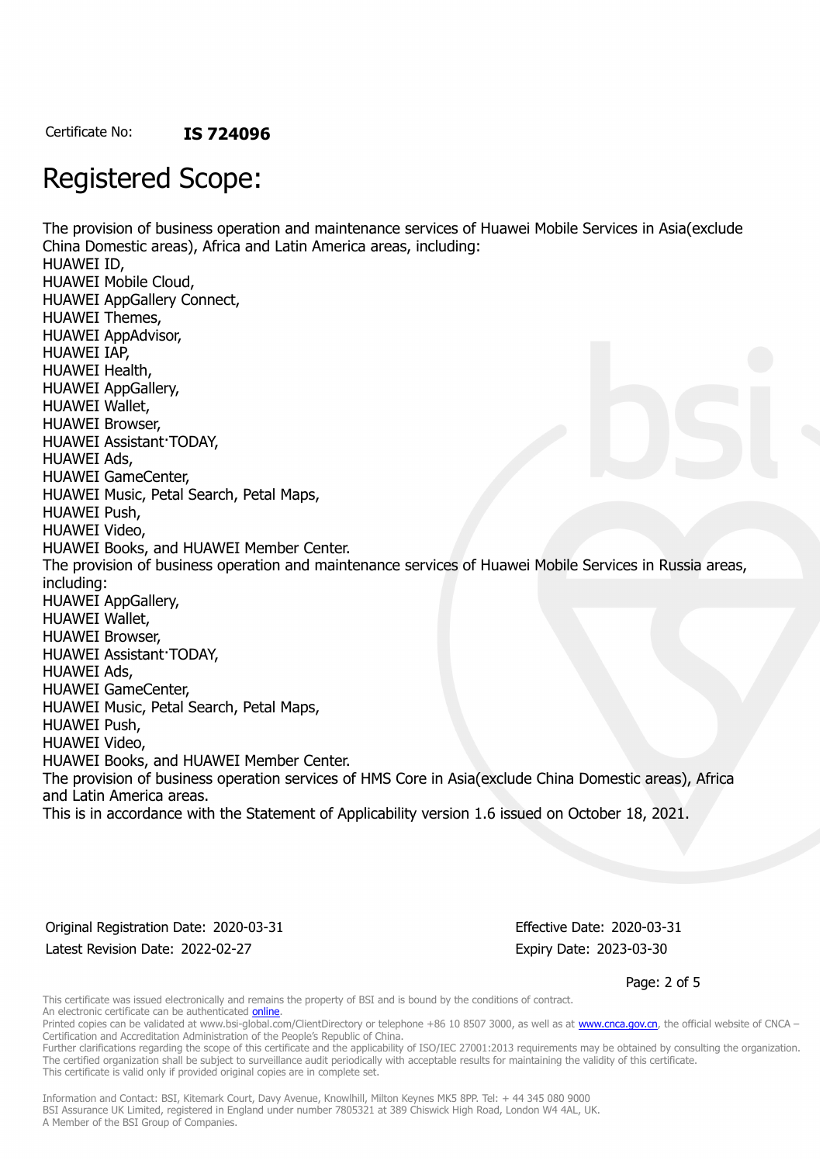## Registered Scope:

The provision of business operation and maintenance services of Huawei Mobile Services in Asia(exclude China Domestic areas), Africa and Latin America areas, including: HUAWEI ID, HUAWEI Mobile Cloud, HUAWEI AppGallery Connect, HUAWEI Themes, HUAWEI AppAdvisor, HUAWEI IAP, HUAWEI Health, HUAWEI AppGallery, HUAWEI Wallet, HUAWEI Browser, HUAWEI Assistant·TODAY, HUAWEI Ads, HUAWEI GameCenter, HUAWEI Music, Petal Search, Petal Maps, HUAWEI Push, HUAWEI Video, HUAWEI Books, and HUAWEI Member Center. The provision of business operation and maintenance services of Huawei Mobile Services in Russia areas, including: HUAWEI AppGallery, HUAWEI Wallet, HUAWEI Browser, HUAWEI Assistant·TODAY, HUAWEI Ads, HUAWEI GameCenter, HUAWEI Music, Petal Search, Petal Maps, HUAWEI Push, HUAWEI Video, HUAWEI Books, and HUAWEI Member Center. The provision of business operation services of HMS Core in Asia(exclude China Domestic areas), Africa and Latin America areas. This is in accordance with the Statement of Applicability version 1.6 issued on October 18, 2021.

Original Registration Date: 2020-03-31 Effective Date: 2020-03-31 Latest Revision Date: 2022-02-27 Expiry Date: 2023-03-30

Page: 2 of 5

This certificate was issued electronically and remains the property of BSI and is bound by the conditions of contract. An electronic certificate can be authenticated **[online](https://pgplus.bsigroup.com/CertificateValidation/CertificateValidator.aspx?CertificateNumber=IS+724096&ReIssueDate=27%2f02%2f2022&Template=cnen)**.

Printed copies can be validated at www.bsi-global.com/ClientDirectory or telephone +86 10 8507 3000, as well as at [www.cnca.gov.cn,](www.cnca.gov.cn) the official website of CNCA – Certification and Accreditation Administration of the People's Republic of China.

Further clarifications regarding the scope of this certificate and the applicability of ISO/IEC 27001:2013 requirements may be obtained by consulting the organization. The certified organization shall be subject to surveillance audit periodically with acceptable results for maintaining the validity of this certificate. This certificate is valid only if provided original copies are in complete set.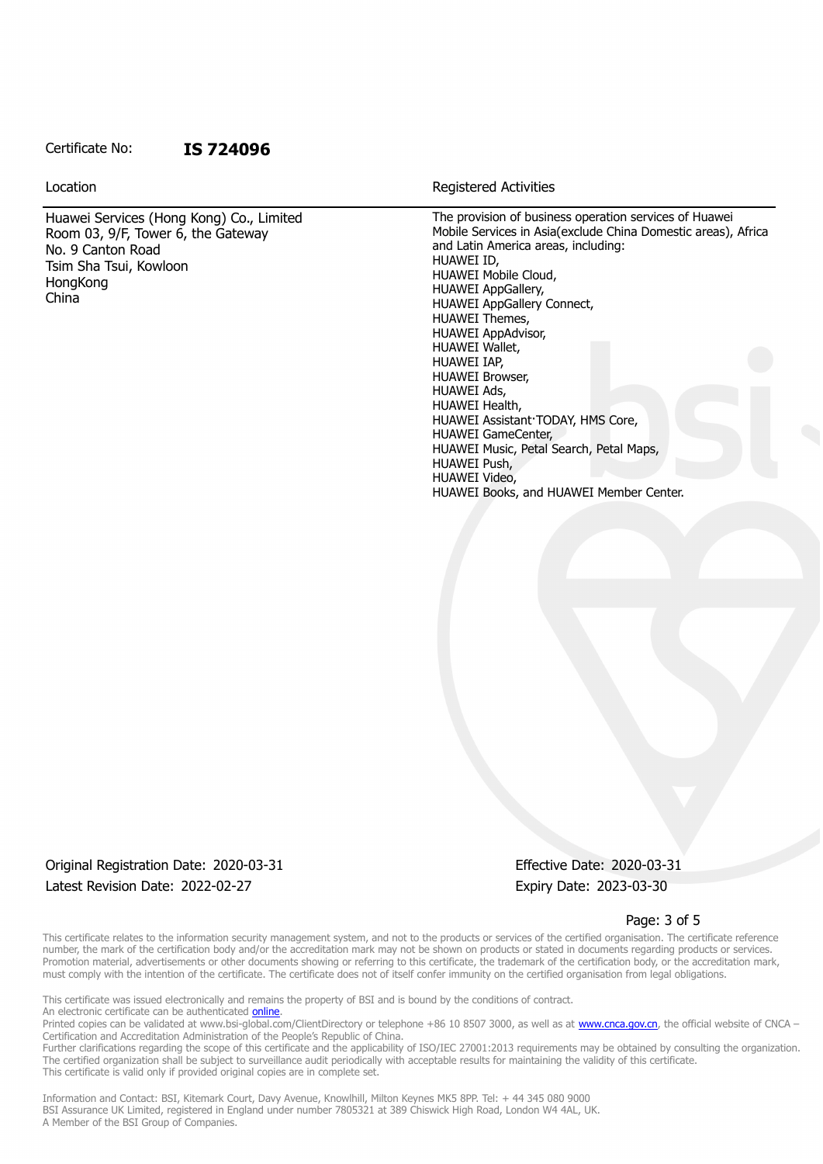#### Certificate No: **IS 724096**

Huawei Services (Hong Kong) Co., Limited Room 03, 9/F, Tower 6, the Gateway No. 9 Canton Road Tsim Sha Tsui, Kowloon **HongKong** China

Location **Exercise 2018 Location Registered Activities** 

The provision of business operation services of Huawei Mobile Services in Asia(exclude China Domestic areas), Africa and Latin America areas, including: HUAWEI ID, HUAWEI Mobile Cloud, HUAWEI AppGallery, HUAWEI AppGallery Connect, HUAWEI Themes, HUAWEI AppAdvisor, HUAWEI Wallet, HUAWEI IAP, HUAWEI Browser, HUAWEI Ads, HUAWEI Health, HUAWEI Assistant·TODAY, HMS Core, HUAWEI GameCenter, HUAWEI Music, Petal Search, Petal Maps, HUAWEI Push, HUAWEI Video, HUAWEI Books, and HUAWEI Member Center.

## Original Registration Date: 2020-03-31 Effective Date: 2020-03-31 Latest Revision Date: 2022-02-27 Expiry Date: 2023-03-30

#### Page: 3 of 5

This certificate relates to the information security management system, and not to the products or services of the certified organisation. The certificate reference number, the mark of the certification body and/or the accreditation mark may not be shown on products or stated in documents regarding products or services. Promotion material, advertisements or other documents showing or referring to this certificate, the trademark of the certification body, or the accreditation mark, must comply with the intention of the certificate. The certificate does not of itself confer immunity on the certified organisation from legal obligations.

This certificate was issued electronically and remains the property of BSI and is bound by the conditions of contract. An electronic certificate can be authenticated **[online](https://pgplus.bsigroup.com/CertificateValidation/CertificateValidator.aspx?CertificateNumber=IS+724096&ReIssueDate=27%2f02%2f2022&Template=cnen)**.

Printed copies can be validated at www.bsi-global.com/ClientDirectory or telephone +86 10 8507 3000, as well as at [www.cnca.gov.cn,](www.cnca.gov.cn) the official website of CNCA – Certification and Accreditation Administration of the People's Republic of China.

Further clarifications regarding the scope of this certificate and the applicability of ISO/IEC 27001:2013 requirements may be obtained by consulting the organization. The certified organization shall be subject to surveillance audit periodically with acceptable results for maintaining the validity of this certificate. This certificate is valid only if provided original copies are in complete set.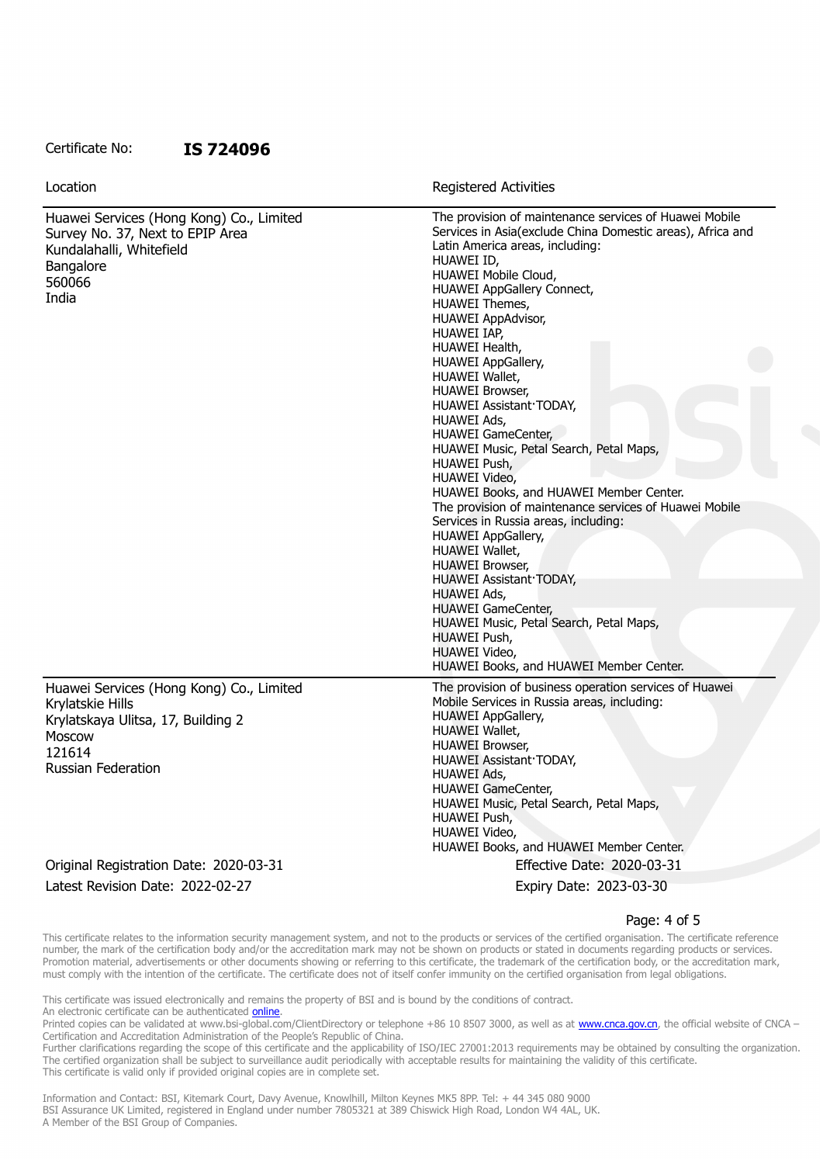#### Certificate No: **IS 724096**

| Location                                                                                                                                            | <b>Registered Activities</b>                                                                                                                                                                                                                                                                                                                                                                                                                                                                                                                                                                                                                                                                                                                                                                                                                                                                                                                                       |
|-----------------------------------------------------------------------------------------------------------------------------------------------------|--------------------------------------------------------------------------------------------------------------------------------------------------------------------------------------------------------------------------------------------------------------------------------------------------------------------------------------------------------------------------------------------------------------------------------------------------------------------------------------------------------------------------------------------------------------------------------------------------------------------------------------------------------------------------------------------------------------------------------------------------------------------------------------------------------------------------------------------------------------------------------------------------------------------------------------------------------------------|
| Huawei Services (Hong Kong) Co., Limited<br>Survey No. 37, Next to EPIP Area<br>Kundalahalli, Whitefield<br>Bangalore<br>560066<br>India            | The provision of maintenance services of Huawei Mobile<br>Services in Asia(exclude China Domestic areas), Africa and<br>Latin America areas, including:<br>HUAWEI ID,<br>HUAWEI Mobile Cloud,<br>HUAWEI AppGallery Connect,<br><b>HUAWEI Themes,</b><br><b>HUAWEI AppAdvisor,</b><br>HUAWEI IAP,<br>HUAWEI Health,<br><b>HUAWEI AppGallery,</b><br>HUAWEI Wallet,<br><b>HUAWEI Browser,</b><br>HUAWEI Assistant TODAY,<br>HUAWEI Ads,<br><b>HUAWEI GameCenter,</b><br>HUAWEI Music, Petal Search, Petal Maps,<br>HUAWEI Push,<br>HUAWEI Video,<br>HUAWEI Books, and HUAWEI Member Center.<br>The provision of maintenance services of Huawei Mobile<br>Services in Russia areas, including:<br><b>HUAWEI AppGallery,</b><br>HUAWEI Wallet,<br><b>HUAWEI Browser,</b><br>HUAWEI Assistant TODAY,<br>HUAWEI Ads,<br><b>HUAWEI GameCenter,</b><br>HUAWEI Music, Petal Search, Petal Maps,<br>HUAWEI Push,<br>HUAWEI Video,<br>HUAWEI Books, and HUAWEI Member Center. |
| Huawei Services (Hong Kong) Co., Limited<br>Krylatskie Hills<br>Krylatskaya Ulitsa, 17, Building 2<br>Moscow<br>121614<br><b>Russian Federation</b> | The provision of business operation services of Huawei<br>Mobile Services in Russia areas, including:<br><b>HUAWEI AppGallery,</b><br>HUAWEI Wallet,<br><b>HUAWEI Browser,</b><br>HUAWEI Assistant TODAY,<br>HUAWEI Ads,<br><b>HUAWEI</b> GameCenter,<br>HUAWEI Music, Petal Search, Petal Maps,<br>HUAWEI Push,<br>HUAWEI Video,<br>HUAWEI Books, and HUAWEI Member Center.                                                                                                                                                                                                                                                                                                                                                                                                                                                                                                                                                                                       |
| Original Registration Date: 2020-03-31                                                                                                              | Effective Date: 2020-03-31                                                                                                                                                                                                                                                                                                                                                                                                                                                                                                                                                                                                                                                                                                                                                                                                                                                                                                                                         |
| Latest Revision Date: 2022-02-27                                                                                                                    | Expiry Date: 2023-03-30                                                                                                                                                                                                                                                                                                                                                                                                                                                                                                                                                                                                                                                                                                                                                                                                                                                                                                                                            |

#### Page: 4 of 5

This certificate relates to the information security management system, and not to the products or services of the certified organisation. The certificate reference number, the mark of the certification body and/or the accreditation mark may not be shown on products or stated in documents regarding products or services. Promotion material, advertisements or other documents showing or referring to this certificate, the trademark of the certification body, or the accreditation mark, must comply with the intention of the certificate. The certificate does not of itself confer immunity on the certified organisation from legal obligations.

This certificate was issued electronically and remains the property of BSI and is bound by the conditions of contract. An electronic certificate can be authenticated *[online](https://pgplus.bsigroup.com/CertificateValidation/CertificateValidator.aspx?CertificateNumber=IS+724096&ReIssueDate=27%2f02%2f2022&Template=cnen)*.

Printed copies can be validated at www.bsi-global.com/ClientDirectory or telephone +86 10 8507 3000, as well as at [www.cnca.gov.cn,](www.cnca.gov.cn) the official website of CNCA – Certification and Accreditation Administration of the People's Republic of China.

Further clarifications regarding the scope of this certificate and the applicability of ISO/IEC 27001:2013 requirements may be obtained by consulting the organization. The certified organization shall be subject to surveillance audit periodically with acceptable results for maintaining the validity of this certificate. This certificate is valid only if provided original copies are in complete set.